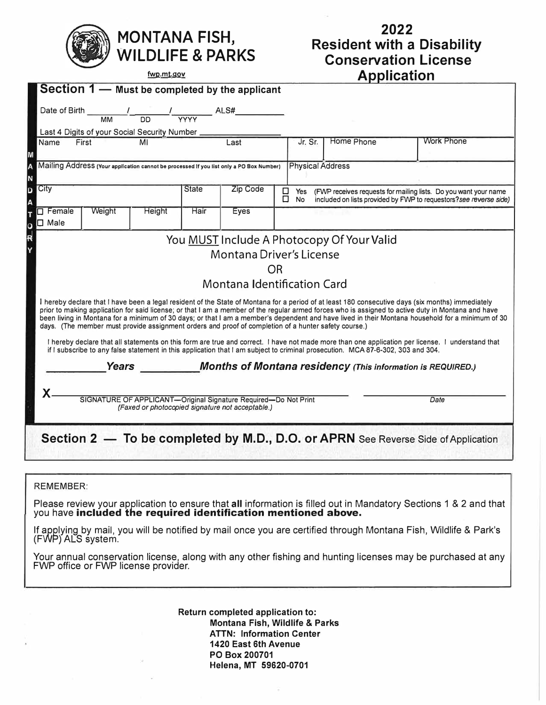

## **2022 Resident with a Disability Conservation License A pp1ca I' f 10n**

| <u>IWD IIII, YOV</u>                                                                                                                                                                                                                                                                                                                                                                                                                                                                                                                                                |                 |                                                                                                                                                                                                                                                                                                                                                                                                                       |      |                                                                 |         | <b>Application</b>                                                                                                                                                  |            |                   |  |  |
|---------------------------------------------------------------------------------------------------------------------------------------------------------------------------------------------------------------------------------------------------------------------------------------------------------------------------------------------------------------------------------------------------------------------------------------------------------------------------------------------------------------------------------------------------------------------|-----------------|-----------------------------------------------------------------------------------------------------------------------------------------------------------------------------------------------------------------------------------------------------------------------------------------------------------------------------------------------------------------------------------------------------------------------|------|-----------------------------------------------------------------|---------|---------------------------------------------------------------------------------------------------------------------------------------------------------------------|------------|-------------------|--|--|
|                                                                                                                                                                                                                                                                                                                                                                                                                                                                                                                                                                     |                 | Section 1 - Must be completed by the applicant                                                                                                                                                                                                                                                                                                                                                                        |      |                                                                 |         |                                                                                                                                                                     |            |                   |  |  |
| Date of Birth                                                                                                                                                                                                                                                                                                                                                                                                                                                                                                                                                       | $\overline{MM}$ | $\frac{1}{\sqrt{1-\frac{1}{1-\frac{1}{1-\frac{1}{1-\frac{1}{1-\frac{1}{1-\frac{1}{1-\frac{1}{1-\frac{1}{1-\frac{1}{1-\frac{1}{1-\frac{1}{1-\frac{1}{1-\frac{1}{1-\frac{1}{1-\frac{1}{1-\frac{1}{1-\frac{1}{1-\frac{1}{1-\frac{1}{1-\frac{1}{1-\frac{1}{1-\frac{1}{1-\frac{1}{1-\frac{1}{1-\frac{1}{1-\frac{1}{1-\frac{1}{1-\frac{1}{1-\frac{1}{1-\frac{1}{1-\frac{1}{1-\frac{1}{1-\frac{1}{1-\frac{1}{1-\frac{1}{1-\$ |      |                                                                 |         |                                                                                                                                                                     |            |                   |  |  |
| Last 4 Digits of your Social Security Number                                                                                                                                                                                                                                                                                                                                                                                                                                                                                                                        |                 |                                                                                                                                                                                                                                                                                                                                                                                                                       |      |                                                                 |         |                                                                                                                                                                     |            |                   |  |  |
| Name                                                                                                                                                                                                                                                                                                                                                                                                                                                                                                                                                                | First           | MI                                                                                                                                                                                                                                                                                                                                                                                                                    |      | Last                                                            | Jr. Sr. |                                                                                                                                                                     | Home Phone | <b>Work Phone</b> |  |  |
| <b>Physical Address</b><br>Mailing Address (Your application cannot be processed if you list only a PO Box Number)                                                                                                                                                                                                                                                                                                                                                                                                                                                  |                 |                                                                                                                                                                                                                                                                                                                                                                                                                       |      |                                                                 |         |                                                                                                                                                                     |            |                   |  |  |
| City<br>Zip Code<br><b>State</b>                                                                                                                                                                                                                                                                                                                                                                                                                                                                                                                                    |                 |                                                                                                                                                                                                                                                                                                                                                                                                                       |      |                                                                 |         | □<br>Yes<br>(FWP receives requests for mailing lists. Do you want your name<br>□<br>included on lists provided by FWP to requestors? see reverse side)<br><b>No</b> |            |                   |  |  |
| $\Box$ Female<br>$\square$ Male                                                                                                                                                                                                                                                                                                                                                                                                                                                                                                                                     | Weight          | Height                                                                                                                                                                                                                                                                                                                                                                                                                | Hair | Eyes                                                            |         |                                                                                                                                                                     |            |                   |  |  |
| You MUST Include A Photocopy Of Your Valid                                                                                                                                                                                                                                                                                                                                                                                                                                                                                                                          |                 |                                                                                                                                                                                                                                                                                                                                                                                                                       |      |                                                                 |         |                                                                                                                                                                     |            |                   |  |  |
| Montana Driver's License                                                                                                                                                                                                                                                                                                                                                                                                                                                                                                                                            |                 |                                                                                                                                                                                                                                                                                                                                                                                                                       |      |                                                                 |         |                                                                                                                                                                     |            |                   |  |  |
| OR                                                                                                                                                                                                                                                                                                                                                                                                                                                                                                                                                                  |                 |                                                                                                                                                                                                                                                                                                                                                                                                                       |      |                                                                 |         |                                                                                                                                                                     |            |                   |  |  |
| <b>Montana Identification Card</b>                                                                                                                                                                                                                                                                                                                                                                                                                                                                                                                                  |                 |                                                                                                                                                                                                                                                                                                                                                                                                                       |      |                                                                 |         |                                                                                                                                                                     |            |                   |  |  |
| I hereby declare that I have been a legal resident of the State of Montana for a period of at least 180 consecutive days (six months) immediately<br>prior to making application for said license; or that I am a member of the regular armed forces who is assigned to active duty in Montana and have<br>been living in Montana for a minimum of 30 days; or that I am a member's dependent and have lived in their Montana household for a minimum of 30<br>days. (The member must provide assignment orders and proof of completion of a hunter safety course.) |                 |                                                                                                                                                                                                                                                                                                                                                                                                                       |      |                                                                 |         |                                                                                                                                                                     |            |                   |  |  |
| I hereby declare that all statements on this form are true and correct. I have not made more than one application per license. I understand that<br>if I subscribe to any false statement in this application that I am subject to criminal prosecution. MCA 87-6-302, 303 and 304.                                                                                                                                                                                                                                                                                 |                 |                                                                                                                                                                                                                                                                                                                                                                                                                       |      |                                                                 |         |                                                                                                                                                                     |            |                   |  |  |
| Years Months of Montana residency (This information is REQUIRED.)                                                                                                                                                                                                                                                                                                                                                                                                                                                                                                   |                 |                                                                                                                                                                                                                                                                                                                                                                                                                       |      |                                                                 |         |                                                                                                                                                                     |            |                   |  |  |
| $\mathsf{X}$ .                                                                                                                                                                                                                                                                                                                                                                                                                                                                                                                                                      |                 |                                                                                                                                                                                                                                                                                                                                                                                                                       |      | SIGNATURE OF APPLICANT-Original Signature Required-Do Not Print |         |                                                                                                                                                                     |            | Date              |  |  |
| (Faxed or photocopied signature not acceptable.)                                                                                                                                                                                                                                                                                                                                                                                                                                                                                                                    |                 |                                                                                                                                                                                                                                                                                                                                                                                                                       |      |                                                                 |         |                                                                                                                                                                     |            |                   |  |  |
| Section 2 - To be completed by M.D., D.O. or APRN See Reverse Side of Application                                                                                                                                                                                                                                                                                                                                                                                                                                                                                   |                 |                                                                                                                                                                                                                                                                                                                                                                                                                       |      |                                                                 |         |                                                                                                                                                                     |            |                   |  |  |
|                                                                                                                                                                                                                                                                                                                                                                                                                                                                                                                                                                     |                 |                                                                                                                                                                                                                                                                                                                                                                                                                       |      |                                                                 |         |                                                                                                                                                                     |            |                   |  |  |

REMEMBER:

Please review your application to ensure that **all** information is filled out in Mandatory Sections 1 & 2 and that you have **included the required identification mentioned above.** 

If applying by mail, you will be notified by mail once you are certified through Montana Fish, Wildlife & Park's (FWP) ALS system.

Your annual conservation license, along with any other fishing and hunting licenses may be purchased at any FWP office or FWP license provider.

> **Return completed application to: Montana Fish, Wildlife** & **Parks ATTN: Information Center 1420 East 6th Avenue PO Box 200701 Helena, MT 59620-0701**